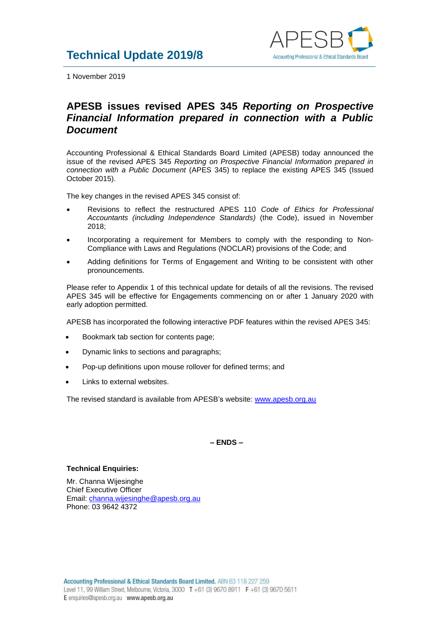

1 November 2019

# **APESB issues revised APES 345** *Reporting on Prospective Financial Information prepared in connection with a Public Document*

Accounting Professional & Ethical Standards Board Limited (APESB) today announced the issue of the revised APES 345 *Reporting on Prospective Financial Information prepared in connection with a Public Document* (APES 345) to replace the existing APES 345 (Issued October 2015).

The key changes in the revised APES 345 consist of:

- Revisions to reflect the restructured APES 110 *Code of Ethics for Professional Accountants (including Independence Standards)* (the Code), issued in November 2018;
- Incorporating a requirement for Members to comply with the responding to Non-Compliance with Laws and Regulations (NOCLAR) provisions of the Code; and
- Adding definitions for Terms of Engagement and Writing to be consistent with other pronouncements.

Please refer to Appendix 1 of this technical update for details of all the revisions. The revised APES 345 will be effective for Engagements commencing on or after 1 January 2020 with early adoption permitted.

APESB has incorporated the following interactive PDF features within the revised APES 345:

- Bookmark tab section for contents page;
- Dynamic links to sections and paragraphs;
- Pop-up definitions upon mouse rollover for defined terms; and
- Links to external websites.

The revised standard is available from APESB's website: [www.apesb.org.au](http://www.apesb.org.au/)

### **– ENDS –**

#### **Technical Enquiries:**

Mr. Channa Wijesinghe Chief Executive Officer Email: [channa.wijesinghe@apesb.org.au](mailto:channa.wijesinghe@apesb.org.au) Phone: 03 9642 4372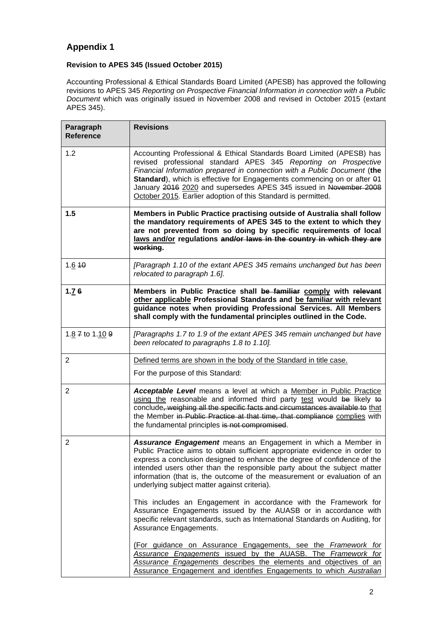## **Appendix 1**

### **Revision to APES 345 (Issued October 2015)**

Accounting Professional & Ethical Standards Board Limited (APESB) has approved the following revisions to APES 345 *Reporting on Prospective Financial Information in connection with a Public Document* which was originally issued in November 2008 and revised in October 2015 (extant APES 345).

| Paragraph<br><b>Reference</b> | <b>Revisions</b>                                                                                                                                                                                                                                                                                                                                                                                                                      |
|-------------------------------|---------------------------------------------------------------------------------------------------------------------------------------------------------------------------------------------------------------------------------------------------------------------------------------------------------------------------------------------------------------------------------------------------------------------------------------|
| 1.2                           | Accounting Professional & Ethical Standards Board Limited (APESB) has<br>revised professional standard APES 345 Reporting on Prospective<br>Financial Information prepared in connection with a Public Document (the<br>Standard), which is effective for Engagements commencing on or after 01<br>January 2016 2020 and supersedes APES 345 issued in November 2008<br>October 2015. Earlier adoption of this Standard is permitted. |
| 1.5                           | Members in Public Practice practising outside of Australia shall follow<br>the mandatory requirements of APES 345 to the extent to which they<br>are not prevented from so doing by specific requirements of local<br>laws and/or regulations and/or laws in the country in which they are<br>working.                                                                                                                                |
| 1.6 10                        | [Paragraph 1.10 of the extant APES 345 remains unchanged but has been<br>relocated to paragraph 1.6].                                                                                                                                                                                                                                                                                                                                 |
| 1.76                          | Members in Public Practice shall be familiar comply with relevant<br>other applicable Professional Standards and be familiar with relevant<br>guidance notes when providing Professional Services. All Members<br>shall comply with the fundamental principles outlined in the Code.                                                                                                                                                  |
| 1.8 7 to 1.10 9               | [Paragraphs 1.7 to 1.9 of the extant APES 345 remain unchanged but have<br>been relocated to paragraphs 1.8 to 1.10].                                                                                                                                                                                                                                                                                                                 |
| $\overline{2}$                | Defined terms are shown in the body of the Standard in title case.                                                                                                                                                                                                                                                                                                                                                                    |
|                               | For the purpose of this Standard:                                                                                                                                                                                                                                                                                                                                                                                                     |
| $\overline{2}$                | Acceptable Level means a level at which a Member in Public Practice<br>using the reasonable and informed third party test would be likely to<br>conclude, weighing all the specific facts and circumstances available to that<br>the Member in Public Practice at that time, that compliance complies with<br>the fundamental principles is not compromised.                                                                          |
| $\overline{2}$                | Assurance Engagement means an Engagement in which a Member in<br>Public Practice aims to obtain sufficient appropriate evidence in order to<br>express a conclusion designed to enhance the degree of confidence of the<br>intended users other than the responsible party about the subject matter<br>information (that is, the outcome of the measurement or evaluation of an<br>underlying subject matter against criteria).       |
|                               | This includes an Engagement in accordance with the Framework for<br>Assurance Engagements issued by the AUASB or in accordance with<br>specific relevant standards, such as International Standards on Auditing, for<br>Assurance Engagements.                                                                                                                                                                                        |
|                               | (For guidance on Assurance Engagements, see the Framework for<br>Assurance Engagements issued by the AUASB. The Framework for<br>Assurance Engagements describes the elements and objectives of an<br>Assurance Engagement and identifies Engagements to which Australian                                                                                                                                                             |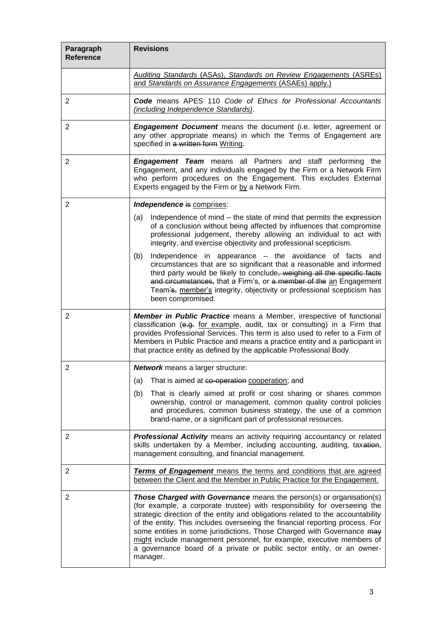| Paragraph<br><b>Reference</b> | <b>Revisions</b>                                                                                                                                                                                                                                                                                                                                                                                                                                                                                                                                                    |
|-------------------------------|---------------------------------------------------------------------------------------------------------------------------------------------------------------------------------------------------------------------------------------------------------------------------------------------------------------------------------------------------------------------------------------------------------------------------------------------------------------------------------------------------------------------------------------------------------------------|
|                               | <b>Auditing Standards (ASAs), Standards on Review Engagements (ASREs)</b><br>and Standards on Assurance Engagements (ASAEs) apply.)                                                                                                                                                                                                                                                                                                                                                                                                                                 |
| $\overline{2}$                | <b>Code</b> means APES 110 Code of Ethics for Professional Accountants<br>(including Independence Standards).                                                                                                                                                                                                                                                                                                                                                                                                                                                       |
| 2                             | <b>Engagement Document</b> means the document (i.e. letter, agreement or<br>any other appropriate means) in which the Terms of Engagement are<br>specified in a written form Writing.                                                                                                                                                                                                                                                                                                                                                                               |
| $\overline{2}$                | <b>Engagement Team</b> means all Partners and staff performing the<br>Engagement, and any individuals engaged by the Firm or a Network Firm<br>who perform procedures on the Engagement. This excludes External<br>Experts engaged by the Firm or by a Network Firm.                                                                                                                                                                                                                                                                                                |
| $\overline{2}$                | Independence is comprises:                                                                                                                                                                                                                                                                                                                                                                                                                                                                                                                                          |
|                               | Independence of mind – the state of mind that permits the expression<br>(a)<br>of a conclusion without being affected by influences that compromise<br>professional judgement, thereby allowing an individual to act with<br>integrity, and exercise objectivity and professional scepticism.                                                                                                                                                                                                                                                                       |
|                               | Independence in appearance - the avoidance of facts and<br>(b)<br>circumstances that are so significant that a reasonable and informed<br>third party would be likely to conclude, weighing all the specific facts<br>and circumstances, that a Firm's, or a member of the an Engagement<br>Team's, member's integrity, objectivity or professional scepticism has<br>been compromised.                                                                                                                                                                             |
| $\overline{2}$                | Member in Public Practice means a Member, irrespective of functional<br>classification (e.g. for example, audit, tax or consulting) in a Firm that<br>provides Professional Services. This term is also used to refer to a Firm of<br>Members in Public Practice and means a practice entity and a participant in<br>that practice entity as defined by the applicable Professional Body.                                                                                                                                                                           |
| $\overline{2}$                | <b>Network</b> means a larger structure:                                                                                                                                                                                                                                                                                                                                                                                                                                                                                                                            |
|                               | (a)<br>That is aimed at co-operation cooperation; and                                                                                                                                                                                                                                                                                                                                                                                                                                                                                                               |
|                               | (b)<br>That is clearly aimed at profit or cost sharing or shares common<br>ownership, control or management, common quality control policies<br>and procedures, common business strategy, the use of a common<br>brand-name, or a significant part of professional resources.                                                                                                                                                                                                                                                                                       |
| $\overline{2}$                | Professional Activity means an activity requiring accountancy or related<br>skills undertaken by a Member, including accounting, auditing, taxation,<br>management consulting, and financial management.                                                                                                                                                                                                                                                                                                                                                            |
| $\overline{2}$                | Terms of Engagement means the terms and conditions that are agreed<br>between the Client and the Member in Public Practice for the Engagement.                                                                                                                                                                                                                                                                                                                                                                                                                      |
| 2                             | <b>Those Charged with Governance</b> means the person(s) or organisation(s)<br>(for example, a corporate trustee) with responsibility for overseeing the<br>strategic direction of the entity and obligations related to the accountability<br>of the entity. This includes overseeing the financial reporting process. For<br>some entities in some jurisdictions, Those Charged with Governance may<br>might include management personnel, for example, executive members of<br>a governance board of a private or public sector entity, or an owner-<br>manager. |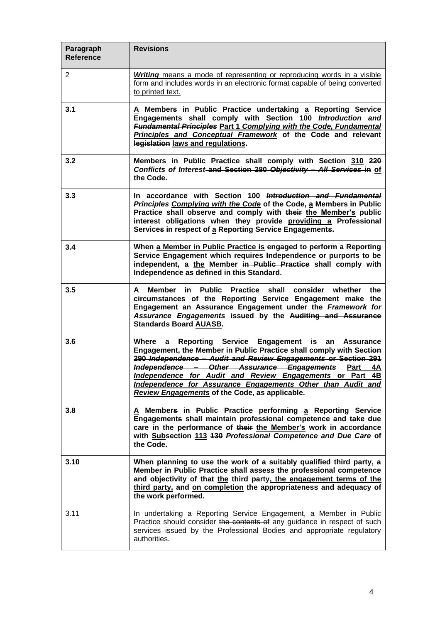| Paragraph<br><b>Reference</b> | <b>Revisions</b>                                                                                                                                                                                                                                                                                                                                                                                                                          |
|-------------------------------|-------------------------------------------------------------------------------------------------------------------------------------------------------------------------------------------------------------------------------------------------------------------------------------------------------------------------------------------------------------------------------------------------------------------------------------------|
| $\overline{2}$                | <b>Writing</b> means a mode of representing or reproducing words in a visible<br>form and includes words in an electronic format capable of being converted<br>to printed text.                                                                                                                                                                                                                                                           |
| 3.1                           | A Members in Public Practice undertaking a Reporting Service<br>Engagements shall comply with Section 100 Introduction and<br><b>Fundamental Principles Part 1 Complying with the Code, Fundamental</b><br>Principles and Conceptual Framework of the Code and relevant<br>legislation laws and regulations.                                                                                                                              |
| 3.2                           | Members in Public Practice shall comply with Section 310 220<br>Conflicts of Interest and Section 280 Objectivity - All Services in of<br>the Code.                                                                                                                                                                                                                                                                                       |
| 3.3                           | In accordance with Section 100 Introduction and Fundamental<br>Principles Complying with the Code of the Code, a Members in Public<br>Practice shall observe and comply with their the Member's public<br>interest obligations when they provide providing a Professional<br>Services in respect of a Reporting Service Engagements.                                                                                                      |
| 3.4                           | When a Member in Public Practice is engaged to perform a Reporting<br>Service Engagement which requires Independence or purports to be<br>independent, a the Member in Public Practice shall comply with<br>Independence as defined in this Standard.                                                                                                                                                                                     |
| 3.5                           | Member<br><b>Public</b><br><b>Practice</b><br>shall consider<br>whether the<br>A<br>in.<br>circumstances of the Reporting Service Engagement make the<br>Engagement an Assurance Engagement under the Framework for<br>Assurance Engagements issued by the Auditing and Assurance<br><b>Standards Board AUASB.</b>                                                                                                                        |
| 3.6                           | Where a Reporting Service Engagement is<br>an Assurance<br>Engagement, the Member in Public Practice shall comply with Section<br>290 Independence - Audit and Review Engagements or Section 291<br>Independence - Other Assurance Engagements<br>Part<br>4A<br>Independence for Audit and Review Engagements or Part 4B<br>Independence for Assurance Engagements Other than Audit and<br>Review Engagements of the Code, as applicable. |
| 3.8                           | A Members in Public Practice performing a Reporting Service<br>Engagements shall maintain professional competence and take due<br>care in the performance of their the Member's work in accordance<br>with Subsection 113 430 Professional Competence and Due Care of<br>the Code.                                                                                                                                                        |
| 3.10                          | When planning to use the work of a suitably qualified third party, a<br>Member in Public Practice shall assess the professional competence<br>and objectivity of that the third party, the engagement terms of the<br>third party, and on completion the appropriateness and adequacy of<br>the work performed.                                                                                                                           |
| 3.11                          | In undertaking a Reporting Service Engagement, a Member in Public<br>Practice should consider the contents of any guidance in respect of such<br>services issued by the Professional Bodies and appropriate regulatory<br>authorities.                                                                                                                                                                                                    |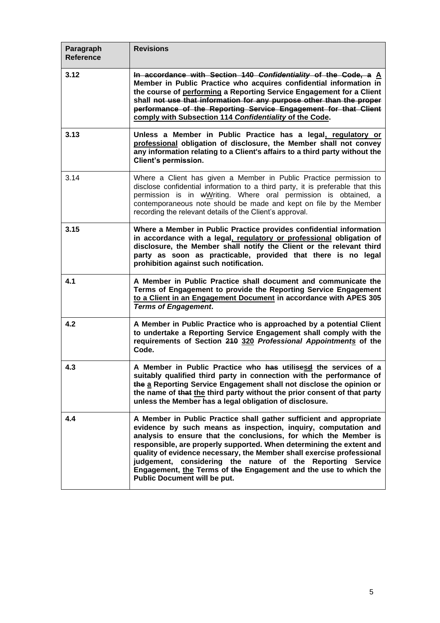| Paragraph<br><b>Reference</b> | <b>Revisions</b>                                                                                                                                                                                                                                                                                                                                                                                                                                                                                                             |
|-------------------------------|------------------------------------------------------------------------------------------------------------------------------------------------------------------------------------------------------------------------------------------------------------------------------------------------------------------------------------------------------------------------------------------------------------------------------------------------------------------------------------------------------------------------------|
| 3.12                          | In accordance with Section 140 Confidentiality of the Code, a A<br>Member in Public Practice who acquires confidential information in<br>the course of performing a Reporting Service Engagement for a Client<br>shall not use that information for any purpose other than the proper<br>performance of the Reporting Service Engagement for that Client<br>comply with Subsection 114 Confidentiality of the Code.                                                                                                          |
| 3.13                          | Unless a Member in Public Practice has a legal, regulatory or<br>professional obligation of disclosure, the Member shall not convey<br>any information relating to a Client's affairs to a third party without the<br><b>Client's permission.</b>                                                                                                                                                                                                                                                                            |
| 3.14                          | Where a Client has given a Member in Public Practice permission to<br>disclose confidential information to a third party, it is preferable that this<br>permission is in wWriting. Where oral permission is obtained, a<br>contemporaneous note should be made and kept on file by the Member<br>recording the relevant details of the Client's approval.                                                                                                                                                                    |
| 3.15                          | Where a Member in Public Practice provides confidential information<br>in accordance with a legal, regulatory or professional obligation of<br>disclosure, the Member shall notify the Client or the relevant third<br>party as soon as practicable, provided that there is no legal<br>prohibition against such notification.                                                                                                                                                                                               |
| 4.1                           | A Member in Public Practice shall document and communicate the<br>Terms of Engagement to provide the Reporting Service Engagement<br>to a Client in an Engagement Document in accordance with APES 305<br><b>Terms of Engagement.</b>                                                                                                                                                                                                                                                                                        |
| 4.2                           | A Member in Public Practice who is approached by a potential Client<br>to undertake a Reporting Service Engagement shall comply with the<br>requirements of Section 210 320 Professional Appointments of the<br>Code.                                                                                                                                                                                                                                                                                                        |
| 4.3                           | A Member in Public Practice who has utilisesd the services of a<br>suitably qualified third party in connection with the performance of<br>the a Reporting Service Engagement shall not disclose the opinion or<br>the name of that the third party without the prior consent of that party<br>unless the Member has a legal obligation of disclosure.                                                                                                                                                                       |
| 4.4                           | A Member in Public Practice shall gather sufficient and appropriate<br>evidence by such means as inspection, inquiry, computation and<br>analysis to ensure that the conclusions, for which the Member is<br>responsible, are properly supported. When determining the extent and<br>quality of evidence necessary, the Member shall exercise professional<br>judgement, considering the nature of the Reporting Service<br>Engagement, the Terms of the Engagement and the use to which the<br>Public Document will be put. |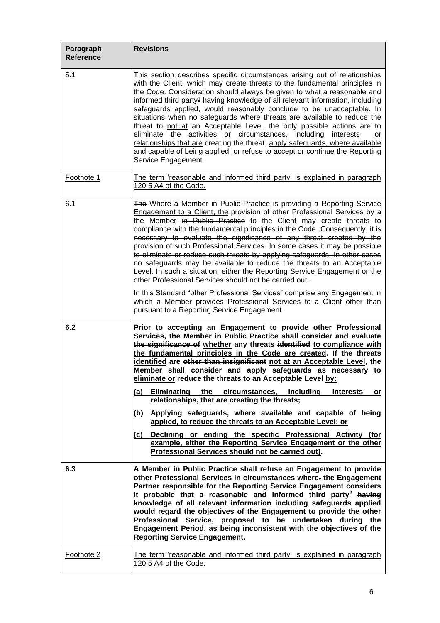| Paragraph<br><b>Reference</b> | <b>Revisions</b>                                                                                                                                                                                                                                                                                                                                                                                                                                                                                                                                                                                                                                                                                                                                                                                                                                                                                                                                               |
|-------------------------------|----------------------------------------------------------------------------------------------------------------------------------------------------------------------------------------------------------------------------------------------------------------------------------------------------------------------------------------------------------------------------------------------------------------------------------------------------------------------------------------------------------------------------------------------------------------------------------------------------------------------------------------------------------------------------------------------------------------------------------------------------------------------------------------------------------------------------------------------------------------------------------------------------------------------------------------------------------------|
| 5.1                           | This section describes specific circumstances arising out of relationships<br>with the Client, which may create threats to the fundamental principles in<br>the Code. Consideration should always be given to what a reasonable and<br>informed third party <sup>1</sup> having knowledge of all relevant information, including<br>safeguards applied, would reasonably conclude to be unacceptable. In<br>situations when no safeguards where threats are available to reduce the<br>threat to not at an Acceptable Level, the only possible actions are to<br>eliminate the activities or circumstances, including interests<br>or<br>relationships that are creating the threat, apply safeguards, where available<br>and capable of being applied, or refuse to accept or continue the Reporting<br>Service Engagement.                                                                                                                                   |
| Footnote 1                    | The term 'reasonable and informed third party' is explained in paragraph<br>120.5 A4 of the Code.                                                                                                                                                                                                                                                                                                                                                                                                                                                                                                                                                                                                                                                                                                                                                                                                                                                              |
| 6.1                           | The Where a Member in Public Practice is providing a Reporting Service<br>Engagement to a Client, the provision of other Professional Services by a<br>the Member in Public Practice to the Client may create threats to<br>compliance with the fundamental principles in the Code. Consequently, it is<br>necessary to evaluate the significance of any threat created by the<br>provision of such Professional Services. In some cases it may be possible<br>to eliminate or reduce such threats by applying safeguards. In other cases<br>no safeguards may be available to reduce the threats to an Acceptable<br>Level. In such a situation, either the Reporting Service Engagement or the<br>other Professional Services should not be carried out.<br>In this Standard "other Professional Services" comprise any Engagement in<br>which a Member provides Professional Services to a Client other than<br>pursuant to a Reporting Service Engagement. |
| 6.2                           | Prior to accepting an Engagement to provide other Professional<br>Services, the Member in Public Practice shall consider and evaluate<br>the significance of whether any threats identified to compliance with<br>the fundamental principles in the Code are created. If the threats<br>identified are other than insignificant not at an Acceptable Level, the<br>Member shall consider and apply safeguards as necessary to<br>eliminate or reduce the threats to an Acceptable Level by:                                                                                                                                                                                                                                                                                                                                                                                                                                                                    |
|                               | Eliminating the circumstances, including<br>(a)<br><i>interests</i><br>or<br>relationships, that are creating the threats;                                                                                                                                                                                                                                                                                                                                                                                                                                                                                                                                                                                                                                                                                                                                                                                                                                     |
|                               | (b) Applying safeguards, where available and capable of being<br>applied, to reduce the threats to an Acceptable Level; or<br>Declining or ending the specific Professional Activity (for<br>(c)<br>example, either the Reporting Service Engagement or the other<br>Professional Services should not be carried out).                                                                                                                                                                                                                                                                                                                                                                                                                                                                                                                                                                                                                                         |
| 6.3                           | A Member in Public Practice shall refuse an Engagement to provide<br>other Professional Services in circumstances where <sub>z</sub> the Engagement<br>Partner responsible for the Reporting Service Engagement considers<br>it probable that a reasonable and informed third party <sup>2</sup> having<br>knowledge of all relevant information including safeguards applied<br>would regard the objectives of the Engagement to provide the other<br>Professional Service, proposed to be undertaken during the<br>Engagement Period, as being inconsistent with the objectives of the<br><b>Reporting Service Engagement.</b>                                                                                                                                                                                                                                                                                                                               |
| Footnote 2                    | The term 'reasonable and informed third party' is explained in paragraph<br>120.5 A4 of the Code.                                                                                                                                                                                                                                                                                                                                                                                                                                                                                                                                                                                                                                                                                                                                                                                                                                                              |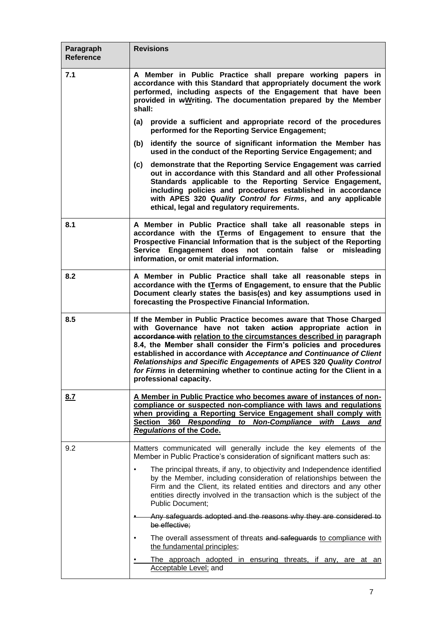| Paragraph<br><b>Reference</b> | <b>Revisions</b>                                                                                                                                                                                                                                                                                                                                                                                                                                                                                                                |
|-------------------------------|---------------------------------------------------------------------------------------------------------------------------------------------------------------------------------------------------------------------------------------------------------------------------------------------------------------------------------------------------------------------------------------------------------------------------------------------------------------------------------------------------------------------------------|
| 7.1                           | A Member in Public Practice shall prepare working papers in<br>accordance with this Standard that appropriately document the work<br>performed, including aspects of the Engagement that have been<br>provided in wWriting. The documentation prepared by the Member<br>shall:                                                                                                                                                                                                                                                  |
|                               | provide a sufficient and appropriate record of the procedures<br>(a)<br>performed for the Reporting Service Engagement;                                                                                                                                                                                                                                                                                                                                                                                                         |
|                               | identify the source of significant information the Member has<br>(b)<br>used in the conduct of the Reporting Service Engagement; and                                                                                                                                                                                                                                                                                                                                                                                            |
|                               | demonstrate that the Reporting Service Engagement was carried<br>(c)<br>out in accordance with this Standard and all other Professional<br>Standards applicable to the Reporting Service Engagement,<br>including policies and procedures established in accordance<br>with APES 320 Quality Control for Firms, and any applicable<br>ethical, legal and regulatory requirements.                                                                                                                                               |
| 8.1                           | A Member in Public Practice shall take all reasonable steps in<br>accordance with the tTerms of Engagement to ensure that the<br>Prospective Financial Information that is the subject of the Reporting<br>Service Engagement does not contain false or misleading<br>information, or omit material information.                                                                                                                                                                                                                |
| 8.2                           | A Member in Public Practice shall take all reasonable steps in<br>accordance with the tTerms of Engagement, to ensure that the Public<br>Document clearly states the basis(es) and key assumptions used in<br>forecasting the Prospective Financial Information.                                                                                                                                                                                                                                                                |
| 8.5                           | If the Member in Public Practice becomes aware that Those Charged<br>with Governance have not taken action appropriate action in<br>accordance with relation to the circumstances described in paragraph<br>8.4, the Member shall consider the Firm's policies and procedures<br>established in accordance with Acceptance and Continuance of Client<br>Relationships and Specific Engagements of APES 320 Quality Control<br>for Firms in determining whether to continue acting for the Client in a<br>professional capacity. |
| 8.7                           | A Member in Public Practice who becomes aware of instances of non-<br>compliance or suspected non-compliance with laws and regulations<br>when providing a Reporting Service Engagement shall comply with<br>Section 360 Responding to Non-Compliance<br>with Laws<br>and<br><b>Regulations of the Code.</b>                                                                                                                                                                                                                    |
| 9.2                           | Matters communicated will generally include the key elements of the<br>Member in Public Practice's consideration of significant matters such as:                                                                                                                                                                                                                                                                                                                                                                                |
|                               | The principal threats, if any, to objectivity and Independence identified<br>by the Member, including consideration of relationships between the<br>Firm and the Client, its related entities and directors and any other<br>entities directly involved in the transaction which is the subject of the<br><b>Public Document;</b>                                                                                                                                                                                               |
|                               | Any safeguards adopted and the reasons why they are considered to<br>be effective;                                                                                                                                                                                                                                                                                                                                                                                                                                              |
|                               | The overall assessment of threats and safeguards to compliance with<br>the fundamental principles;                                                                                                                                                                                                                                                                                                                                                                                                                              |
|                               | The approach adopted in ensuring threats, if any, are at an<br><b>Acceptable Level</b> ; and                                                                                                                                                                                                                                                                                                                                                                                                                                    |